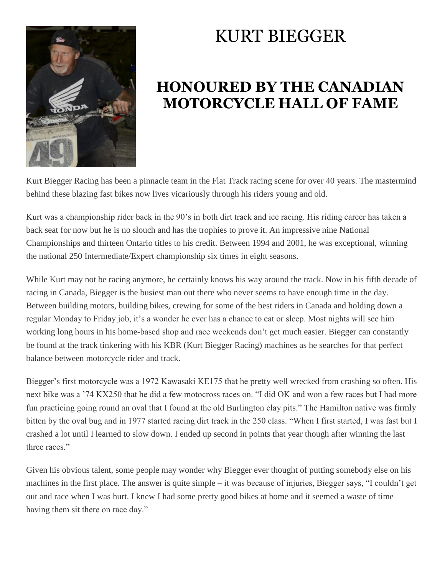

## KURT BIEGGER

## **HONOURED BY THE CANADIAN MOTORCYCLE HALL OF FAME**

Kurt Biegger Racing has been a pinnacle team in the Flat Track racing scene for over 40 years. The mastermind behind these blazing fast bikes now lives vicariously through his riders young and old.

Kurt was a championship rider back in the 90's in both dirt track and ice racing. His riding career has taken a back seat for now but he is no slouch and has the trophies to prove it. An impressive nine National Championships and thirteen Ontario titles to his credit. Between 1994 and 2001, he was exceptional, winning the national 250 Intermediate/Expert championship six times in eight seasons.

While Kurt may not be racing anymore, he certainly knows his way around the track. Now in his fifth decade of racing in Canada, Biegger is the busiest man out there who never seems to have enough time in the day. Between building motors, building bikes, crewing for some of the best riders in Canada and holding down a regular Monday to Friday job, it's a wonder he ever has a chance to eat or sleep. Most nights will see him working long hours in his home-based shop and race weekends don't get much easier. Biegger can constantly be found at the track tinkering with his KBR (Kurt Biegger Racing) machines as he searches for that perfect balance between motorcycle rider and track.

Biegger's first motorcycle was a 1972 Kawasaki KE175 that he pretty well wrecked from crashing so often. His next bike was a '74 KX250 that he did a few motocross races on. "I did OK and won a few races but I had more fun practicing going round an oval that I found at the old Burlington clay pits." The Hamilton native was firmly bitten by the oval bug and in 1977 started racing dirt track in the 250 class. "When I first started, I was fast but I crashed a lot until I learned to slow down. I ended up second in points that year though after winning the last three races."

Given his obvious talent, some people may wonder why Biegger ever thought of putting somebody else on his machines in the first place. The answer is quite simple – it was because of injuries, Biegger says, "I couldn't get out and race when I was hurt. I knew I had some pretty good bikes at home and it seemed a waste of time having them sit there on race day."